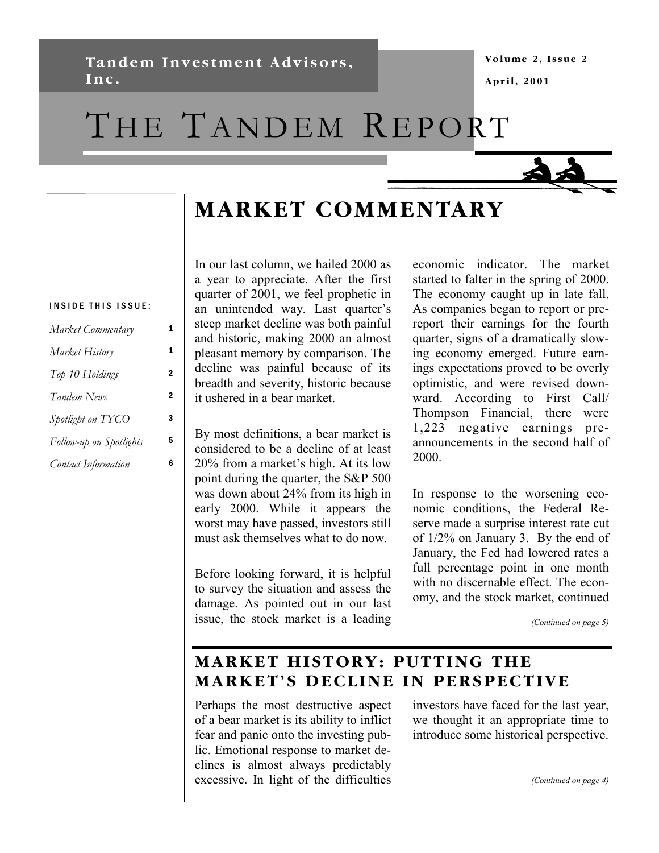**Tandem Investment Advisors, Inc.** 

# THE TANDEM REPORT



# **MARKET COMMENTARY**

#### INSIDE THIS ISSUE:

| Market Commentary          |   |
|----------------------------|---|
| Market History             | 1 |
| Top 10 Holdings            | 2 |
| Tandem News                | 2 |
| Spotlight on TYCO          | 3 |
| Follow-up on Spotlights    | 5 |
| <b>Contact Information</b> | 6 |

In our last column, we hailed 2000 as a year to appreciate. After the first quarter of 2001, we feel prophetic in an unintended way. Last quarter's steep market decline was both painful and historic, making 2000 an almost pleasant memory by comparison. The decline was painful because of its breadth and severity, historic because it ushered in a bear market.

By most definitions, a bear market is considered to be a decline of at least 20% from a market's high. At its low point during the quarter, the S&P 500 was down about 24% from its high in early 2000. While it appears the worst may have passed, investors still must ask themselves what to do now.

Before looking forward, it is helpful to survey the situation and assess the damage. As pointed out in our last issue, the stock market is a leading economic indicator. The market started to falter in the spring of 2000. The economy caught up in late fall. As companies began to report or prereport their earnings for the fourth quarter, signs of a dramatically slowing economy emerged. Future earnings expectations proved to be overly optimistic, and were revised downward. According to First Call/ Thompson Financial, there were 1,223 negative earnings preannouncements in the second half of 2000.

In response to the worsening economic conditions, the Federal Reserve made a surprise interest rate cut of 1/2% on January 3. By the end of January, the Fed had lowered rates a full percentage point in one month with no discernable effect. The economy, and the stock market, continued

*(Continued on page 5)* 

### **MARKET HISTORY: PUTTING THE MARKET'S DECLINE IN PERSPECTIVE**

Perhaps the most destructive aspect of a bear market is its ability to inflict fear and panic onto the investing public. Emotional response to market declines is almost always predictably excessive. In light of the difficulties

investors have faced for the last year, we thought it an appropriate time to introduce some historical perspective.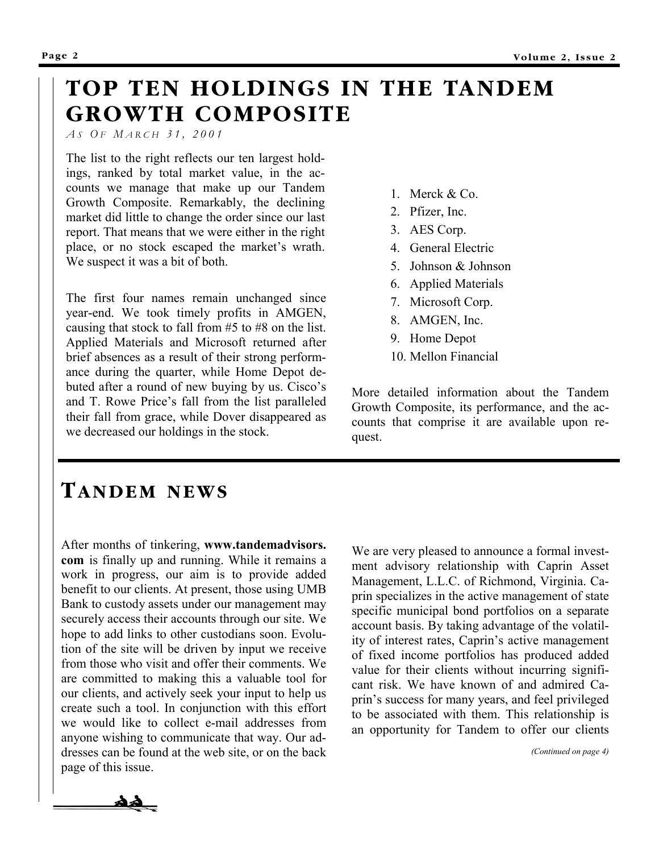## **TOP TEN HOLDINGS IN THE TANDEM GROWTH COMPOSITE**

*A S O F M ARCH 31, 2001* 

The list to the right reflects our ten largest holdings, ranked by total market value, in the accounts we manage that make up our Tandem Growth Composite. Remarkably, the declining market did little to change the order since our last report. That means that we were either in the right place, or no stock escaped the market's wrath. We suspect it was a bit of both.

The first four names remain unchanged since year-end. We took timely profits in AMGEN, causing that stock to fall from #5 to #8 on the list. Applied Materials and Microsoft returned after brief absences as a result of their strong performance during the quarter, while Home Depot debuted after a round of new buying by us. Cisco's and T. Rowe Price's fall from the list paralleled their fall from grace, while Dover disappeared as we decreased our holdings in the stock.

- 1. Merck & Co.
- 2. Pfizer, Inc.
- 3. AES Corp.
- 4. General Electric
- 5. Johnson & Johnson
- 6. Applied Materials
- 7. Microsoft Corp.
- 8. AMGEN, Inc.
- 9. Home Depot
- 10. Mellon Financial

More detailed information about the Tandem Growth Composite, its performance, and the accounts that comprise it are available upon request.

### **TANDEM NEWS**

After months of tinkering, **www.tandemadvisors. com** is finally up and running. While it remains a work in progress, our aim is to provide added benefit to our clients. At present, those using UMB Bank to custody assets under our management may securely access their accounts through our site. We hope to add links to other custodians soon. Evolution of the site will be driven by input we receive from those who visit and offer their comments. We are committed to making this a valuable tool for our clients, and actively seek your input to help us create such a tool. In conjunction with this effort we would like to collect e-mail addresses from anyone wishing to communicate that way. Our addresses can be found at the web site, or on the back page of this issue.

We are very pleased to announce a formal investment advisory relationship with Caprin Asset Management, L.L.C. of Richmond, Virginia. Caprin specializes in the active management of state specific municipal bond portfolios on a separate account basis. By taking advantage of the volatility of interest rates, Caprin's active management of fixed income portfolios has produced added value for their clients without incurring significant risk. We have known of and admired Caprin's success for many years, and feel privileged to be associated with them. This relationship is an opportunity for Tandem to offer our clients

*(Continued on page 4)* 

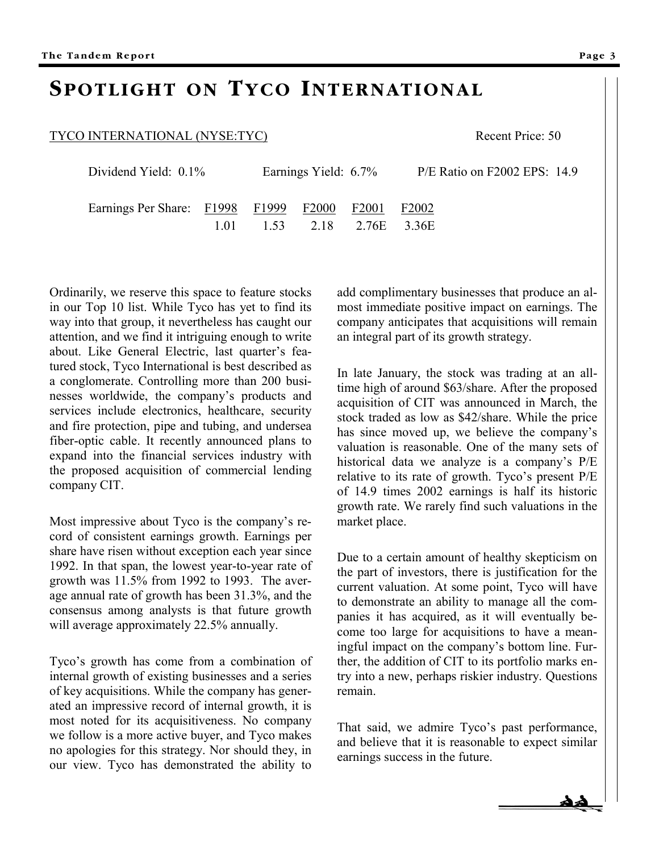### **SPOTLIGHT ON TYCO INTERNATIONAL**

#### TYCO INTERNATIONAL (NYSE:TYC) Recent Price: 50

| Dividend Yield: $0.1\%$                     |     | Earnings Yield: 6.7% |  |                       | P/E Ratio on F2002 EPS: 14.9 |
|---------------------------------------------|-----|----------------------|--|-----------------------|------------------------------|
| Earnings Per Share: F1998 F1999 F2000 F2001 |     |                      |  |                       | F2002                        |
|                                             | 101 |                      |  | 1.53 2.18 2.76E 3.36E |                              |

Ordinarily, we reserve this space to feature stocks in our Top 10 list. While Tyco has yet to find its way into that group, it nevertheless has caught our attention, and we find it intriguing enough to write about. Like General Electric, last quarter's featured stock, Tyco International is best described as a conglomerate. Controlling more than 200 businesses worldwide, the company's products and services include electronics, healthcare, security and fire protection, pipe and tubing, and undersea fiber-optic cable. It recently announced plans to expand into the financial services industry with the proposed acquisition of commercial lending company CIT.

Most impressive about Tyco is the company's record of consistent earnings growth. Earnings per share have risen without exception each year since 1992. In that span, the lowest year-to-year rate of growth was 11.5% from 1992 to 1993. The average annual rate of growth has been 31.3%, and the consensus among analysts is that future growth will average approximately 22.5% annually.

Tyco's growth has come from a combination of internal growth of existing businesses and a series of key acquisitions. While the company has generated an impressive record of internal growth, it is most noted for its acquisitiveness. No company we follow is a more active buyer, and Tyco makes no apologies for this strategy. Nor should they, in our view. Tyco has demonstrated the ability to add complimentary businesses that produce an almost immediate positive impact on earnings. The company anticipates that acquisitions will remain an integral part of its growth strategy.

In late January, the stock was trading at an alltime high of around \$63/share. After the proposed acquisition of CIT was announced in March, the stock traded as low as \$42/share. While the price has since moved up, we believe the company's valuation is reasonable. One of the many sets of historical data we analyze is a company's P/E relative to its rate of growth. Tyco's present P/E of 14.9 times 2002 earnings is half its historic growth rate. We rarely find such valuations in the market place.

Due to a certain amount of healthy skepticism on the part of investors, there is justification for the current valuation. At some point, Tyco will have to demonstrate an ability to manage all the companies it has acquired, as it will eventually become too large for acquisitions to have a meaningful impact on the company's bottom line. Further, the addition of CIT to its portfolio marks entry into a new, perhaps riskier industry. Questions remain.

That said, we admire Tyco's past performance, and believe that it is reasonable to expect similar earnings success in the future.

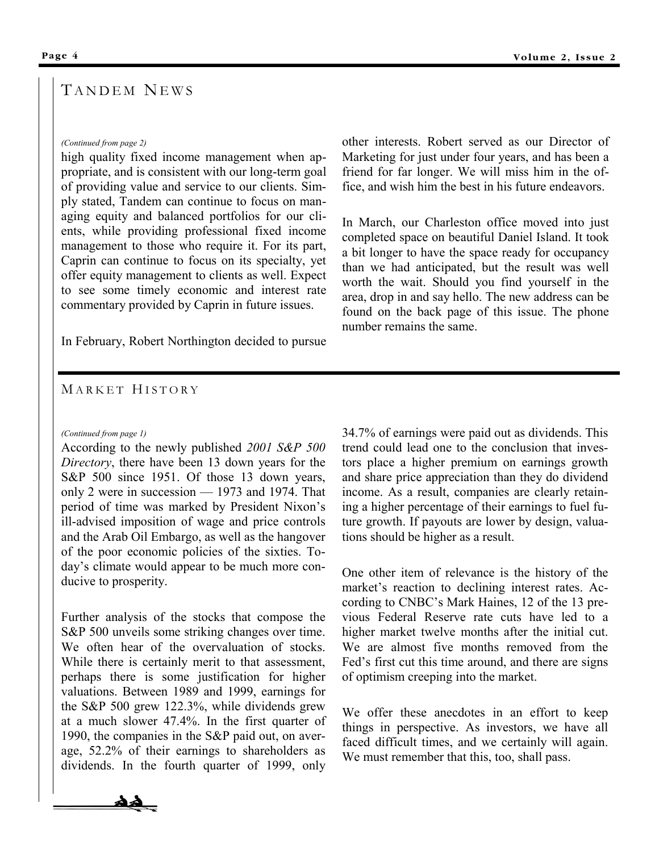#### T ANDEM NEWS

#### *(Continued from page 2)*

high quality fixed income management when appropriate, and is consistent with our long-term goal of providing value and service to our clients. Simply stated, Tandem can continue to focus on managing equity and balanced portfolios for our clients, while providing professional fixed income management to those who require it. For its part, Caprin can continue to focus on its specialty, yet offer equity management to clients as well. Expect to see some timely economic and interest rate commentary provided by Caprin in future issues.

In February, Robert Northington decided to pursue

other interests. Robert served as our Director of Marketing for just under four years, and has been a friend for far longer. We will miss him in the office, and wish him the best in his future endeavors.

In March, our Charleston office moved into just completed space on beautiful Daniel Island. It took a bit longer to have the space ready for occupancy than we had anticipated, but the result was well worth the wait. Should you find yourself in the area, drop in and say hello. The new address can be found on the back page of this issue. The phone number remains the same.

#### MARKET HISTORY

#### *(Continued from page 1)*

According to the newly published *2001 S&P 500 Directory*, there have been 13 down years for the S&P 500 since 1951. Of those 13 down years, only 2 were in succession — 1973 and 1974. That period of time was marked by President Nixon's ill-advised imposition of wage and price controls and the Arab Oil Embargo, as well as the hangover of the poor economic policies of the sixties. Today's climate would appear to be much more conducive to prosperity.

Further analysis of the stocks that compose the S&P 500 unveils some striking changes over time. We often hear of the overvaluation of stocks. While there is certainly merit to that assessment, perhaps there is some justification for higher valuations. Between 1989 and 1999, earnings for the S&P 500 grew 122.3%, while dividends grew at a much slower 47.4%. In the first quarter of 1990, the companies in the S&P paid out, on average, 52.2% of their earnings to shareholders as dividends. In the fourth quarter of 1999, only



One other item of relevance is the history of the market's reaction to declining interest rates. According to CNBC's Mark Haines, 12 of the 13 previous Federal Reserve rate cuts have led to a higher market twelve months after the initial cut. We are almost five months removed from the Fed's first cut this time around, and there are signs of optimism creeping into the market.

We offer these anecdotes in an effort to keep things in perspective. As investors, we have all faced difficult times, and we certainly will again. We must remember that this, too, shall pass.

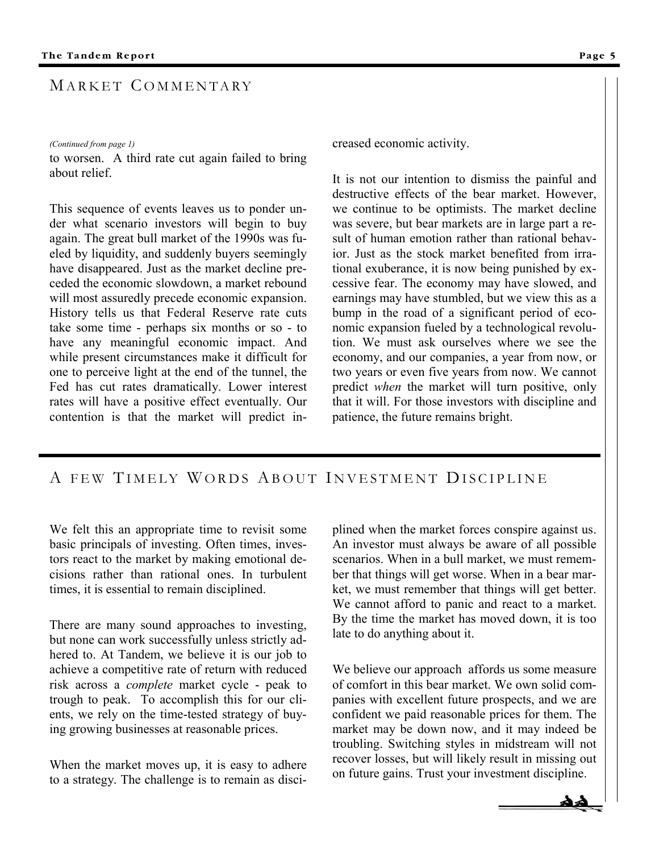#### MARKET COMMENTARY

#### *(Continued from page 1)*

to worsen. A third rate cut again failed to bring about relief.

This sequence of events leaves us to ponder under what scenario investors will begin to buy again. The great bull market of the 1990s was fueled by liquidity, and suddenly buyers seemingly have disappeared. Just as the market decline preceded the economic slowdown, a market rebound will most assuredly precede economic expansion. History tells us that Federal Reserve rate cuts take some time - perhaps six months or so - to have any meaningful economic impact. And while present circumstances make it difficult for one to perceive light at the end of the tunnel, the Fed has cut rates dramatically. Lower interest rates will have a positive effect eventually. Our contention is that the market will predict increased economic activity.

It is not our intention to dismiss the painful and destructive effects of the bear market. However, we continue to be optimists. The market decline was severe, but bear markets are in large part a result of human emotion rather than rational behavior. Just as the stock market benefited from irrational exuberance, it is now being punished by excessive fear. The economy may have slowed, and earnings may have stumbled, but we view this as a bump in the road of a significant period of economic expansion fueled by a technological revolution. We must ask ourselves where we see the economy, and our companies, a year from now, or two years or even five years from now. We cannot predict *when* the market will turn positive, only that it will. For those investors with discipline and patience, the future remains bright.

#### A FEW TIMELY WORDS ABOUT INVESTMENT DISCIPLINE

We felt this an appropriate time to revisit some basic principals of investing. Often times, investors react to the market by making emotional decisions rather than rational ones. In turbulent times, it is essential to remain disciplined.

There are many sound approaches to investing, but none can work successfully unless strictly adhered to. At Tandem, we believe it is our job to achieve a competitive rate of return with reduced risk across a *complete* market cycle - peak to trough to peak. To accomplish this for our clients, we rely on the time-tested strategy of buying growing businesses at reasonable prices.

When the market moves up, it is easy to adhere to a strategy. The challenge is to remain as disciplined when the market forces conspire against us. An investor must always be aware of all possible scenarios. When in a bull market, we must remember that things will get worse. When in a bear market, we must remember that things will get better. We cannot afford to panic and react to a market. By the time the market has moved down, it is too late to do anything about it.

We believe our approach affords us some measure of comfort in this bear market. We own solid companies with excellent future prospects, and we are confident we paid reasonable prices for them. The market may be down now, and it may indeed be troubling. Switching styles in midstream will not recover losses, but will likely result in missing out on future gains. Trust your investment discipline.